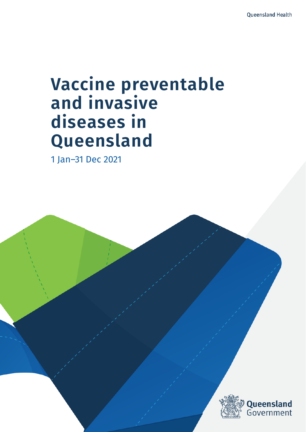# **Vaccine preventable and invasive diseases in Queensland**

 $V$ accine preventable and invasive diseases in  $\mathcal{A}$ 

1 Jan–31 Dec 2021

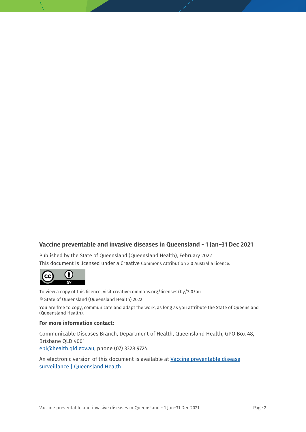#### **Vaccine preventable and invasive diseases in Queensland - 1 Jan–31 Dec 2021**

Published by the State of Queensland (Queensland Health), February 2022 This document is licensed under a Creative Commons Attribution 3.0 Australia licence.



To view a copy of this licence, visit creativecommons.org/licenses/by/3.0/au © State of Queensland (Queensland Health) 2022

You are free to copy, communicate and adapt the work, as long as you attribute the State of Queensland (Queensland Health).

#### **For more information contact:**

Communicable Diseases Branch, Department of Health, Queensland Health, GPO Box 48, Brisbane QLD 4001 epi@health.qld.gov.au, phone (07) 3328 9724.

An electronic version of this document is available at [Vaccine preventable disease](https://www.health.qld.gov.au/clinical-practice/guidelines-procedures/diseases-infection/surveillance/reports/vaccine-preventable)  [surveillance | Queensland Health](https://www.health.qld.gov.au/clinical-practice/guidelines-procedures/diseases-infection/surveillance/reports/vaccine-preventable)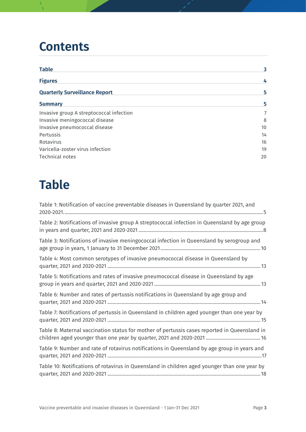## **Contents**

| <b>Table</b>                             | 3  |
|------------------------------------------|----|
| <b>Figures</b>                           | 4  |
| <b>Quarterly Surveillance Report</b>     | 5  |
| <b>Summary</b>                           | 5  |
| Invasive group A streptococcal infection | 7  |
| Invasive meningococcal disease           | 8  |
| Invasive pneumococcal disease            | 10 |
| Pertussis                                | 14 |
| Rotavirus                                | 16 |
| Varicella-zoster virus infection         | 19 |
| Technical notes                          | 20 |

## <span id="page-2-0"></span>**Table**

| Table 1: Notification of vaccine preventable diseases in Queensland by quarter 2021, and      |
|-----------------------------------------------------------------------------------------------|
| Table 2: Notifications of invasive group A streptococcal infection in Queensland by age group |
| Table 3: Notifications of invasive meningococcal infection in Queensland by serogroup and     |
| Table 4: Most common serotypes of invasive pneumococcal disease in Queensland by              |
| Table 5: Notifications and rates of invasive pneumococcal disease in Queensland by age        |
| Table 6: Number and rates of pertussis notifications in Queensland by age group and           |
| Table 7: Notifications of pertussis in Queensland in children aged younger than one year by   |
| Table 8: Maternal vaccination status for mother of pertussis cases reported in Queensland in  |
| Table 9: Number and rate of rotavirus notifications in Queensland by age group in years and   |
| Table 10: Notifications of rotavirus in Queensland in children aged younger than one year by  |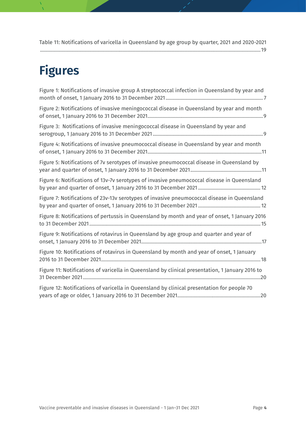[Table 11: Notifications of varicella in Queensland by age group by quarter, 2021 and 2020-2021](#page-18-1) [..........................................................................................................................................................................19](#page-18-1)

## <span id="page-3-0"></span>**Figures**

| Figure 1: Notifications of invasive group A streptococcal infection in Queensland by year and   |
|-------------------------------------------------------------------------------------------------|
| Figure 2: Notifications of invasive meningococcal disease in Queensland by year and month       |
| Figure 3: Notifications of invasive meningococcal disease in Queensland by year and             |
| Figure 4: Notifications of invasive pneumococcal disease in Queensland by year and month        |
| Figure 5: Notifications of 7v serotypes of invasive pneumococcal disease in Queensland by       |
| Figure 6: Notifications of 13v-7v serotypes of invasive pneumococcal disease in Queensland      |
| Figure 7: Notifications of 23v-13v serotypes of invasive pneumococcal disease in Queensland     |
| Figure 8: Notifications of pertussis in Queensland by month and year of onset, 1 January 2016   |
| Figure 9: Notifications of rotavirus in Queensland by age group and quarter and year of         |
| Figure 10: Notifications of rotavirus in Queensland by month and year of onset, 1 January       |
| Figure 11: Notifications of varicella in Queensland by clinical presentation, 1 January 2016 to |
| Figure 12: Notifications of varicella in Queensland by clinical presentation for people 70      |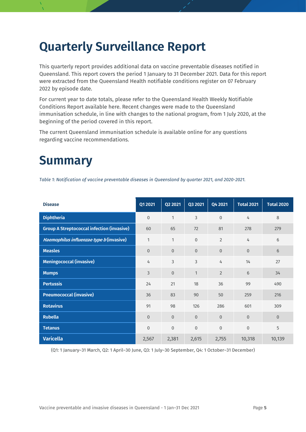## <span id="page-4-0"></span>**Quarterly Surveillance Report**

This quarterly report provides additional data on vaccine preventable diseases notified in Queensland. This report covers the period 1 January to 31 December 2021. Data for this report were extracted from the Queensland Health notifiable conditions register on 07 February 2022 by episode date.

For current year to date totals, please refer to the Queensland Health Weekly Notifiable Conditions Report available here. Recent changes were made to the Queensland immunisation schedule, in line with changes to the national program, from 1 July 2020, at the beginning of the period covered in this report.

The current Queensland immunisation schedule is available online for any questions regarding vaccine recommendations.

## <span id="page-4-1"></span>**Summary**

<span id="page-4-2"></span>*Table 1: Notification of vaccine preventable diseases in Queensland by quarter 2021, and 2020-2021.*

| <b>Disease</b>                                    | Q1 2021        | Q2 2021        | Q3 2021      | Q4 2021        | <b>Total 2021</b> | <b>Total 2020</b> |
|---------------------------------------------------|----------------|----------------|--------------|----------------|-------------------|-------------------|
| <b>Diphtheria</b>                                 | $\mathbf{0}$   | 1              | 3            | $\overline{0}$ | 4                 | 8                 |
| <b>Group A Streptococcal infection (invasive)</b> | 60             | 65             | 72           | 81             | 278               | 279               |
| Haemophilus influenzae type b (invasive)          | 1              | 1              | $\mathbf{0}$ | $\overline{2}$ | 4                 | 6                 |
| <b>Measles</b>                                    | $\overline{0}$ | $\overline{0}$ | $\mathbf{0}$ | $\overline{0}$ | $\overline{0}$    | 6                 |
| <b>Meningococcal (invasive)</b>                   | 4              | 3              | 3            | 4              | 14                | 27                |
| <b>Mumps</b>                                      | $\overline{3}$ | $\overline{0}$ | $\mathbf{1}$ | $\overline{2}$ | 6                 | 34                |
| <b>Pertussis</b>                                  | 24             | 21             | 18           | 36             | 99                | 490               |
| <b>Pneumococcal (invasive)</b>                    | 36             | 83             | 90           | 50             | 259               | 216               |
| <b>Rotavirus</b>                                  | 91             | 98             | 126          | 286            | 601               | 309               |
| <b>Rubella</b>                                    | $\overline{0}$ | $\overline{0}$ | $\mathbf{0}$ | $\overline{0}$ | $\mathbf{0}$      | $\mathbf 0$       |
| <b>Tetanus</b>                                    | $\mathbf{0}$   | $\overline{0}$ | $\mathbf{0}$ | $\overline{0}$ | $\mathbf{0}$      | 5                 |
| <b>Varicella</b>                                  | 2,567          | 2,381          | 2,615        | 2,755          | 10,318            | 10,139            |

(Q1: 1 January–31 March, Q2: 1 April–30 June, Q3: 1 July–30 September, Q4: 1 October–31 December)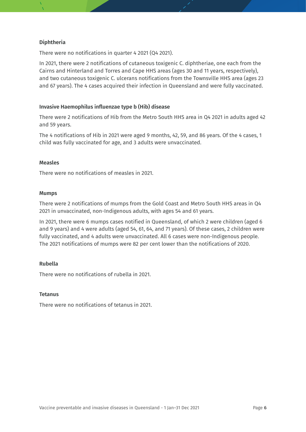#### **Diphtheria**

There were no notifications in quarter 4 2021 (Q4 2021).

In 2021, there were 2 notifications of cutaneous toxigenic C. diphtheriae, one each from the Cairns and Hinterland and Torres and Cape HHS areas (ages 30 and 11 years, respectively), and two cutaneous toxigenic C. ulcerans notifications from the Townsville HHS area (ages 23 and 67 years). The 4 cases acquired their infection in Queensland and were fully vaccinated.

#### **Invasive Haemophilus influenzae type b (Hib) disease**

There were 2 notifications of Hib from the Metro South HHS area in Q4 2021 in adults aged 42 and 59 years.

The 4 notifications of Hib in 2021 were aged 9 months, 42, 59, and 86 years. Of the 4 cases, 1 child was fully vaccinated for age, and 3 adults were unvaccinated.

#### **Measles**

There were no notifications of measles in 2021.

#### **Mumps**

There were 2 notifications of mumps from the Gold Coast and Metro South HHS areas in Q4 2021 in unvaccinated, non-Indigenous adults, with ages 54 and 61 years.

In 2021, there were 6 mumps cases notified in Queensland, of which 2 were children (aged 6 and 9 years) and 4 were adults (aged 54, 61, 64, and 71 years). Of these cases, 2 children were fully vaccinated, and 4 adults were unvaccinated. All 6 cases were non-Indigenous people. The 2021 notifications of mumps were 82 per cent lower than the notifications of 2020.

#### **Rubella**

There were no notifications of rubella in 2021.

#### **Tetanus**

There were no notifications of tetanus in 2021.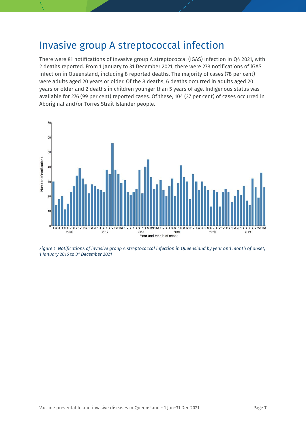### <span id="page-6-0"></span>Invasive group A streptococcal infection

There were 81 notifications of invasive group A streptococcal (iGAS) infection in Q4 2021, with 2 deaths reported. From 1 January to 31 December 2021, there were 278 notifications of iGAS infection in Queensland, including 8 reported deaths. The majority of cases (78 per cent) were adults aged 20 years or older. Of the 8 deaths, 6 deaths occurred in adults aged 20 years or older and 2 deaths in children younger than 5 years of age. Indigenous status was available for 276 (99 per cent) reported cases. Of these, 104 (37 per cent) of cases occurred in Aboriginal and/or Torres Strait Islander people.



<span id="page-6-1"></span>*Figure 1: Notifications of invasive group A streptococcal infection in Queensland by year and month of onset, 1 January 2016 to 31 December 2021*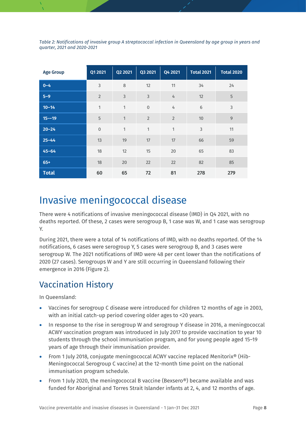<span id="page-7-1"></span>*Table 2: Notifications of invasive group A streptococcal infection in Queensland by age group in years and quarter, 2021 and 2020-2021*

| <b>Age Group</b> | Q1 2021        | Q2 2021        | Q3 2021        | Q4 2021        | <b>Total 2021</b> | <b>Total 2020</b> |
|------------------|----------------|----------------|----------------|----------------|-------------------|-------------------|
| $0 - 4$          | $\mathsf 3$    | 8              | 12             | 11             | 34                | 24                |
| $5-9$            | $\overline{2}$ | $\mathfrak{Z}$ | $\mathfrak{Z}$ | 4              | 12                | 5                 |
| $10 - 14$        | $\mathbf{1}$   | $\mathbf{1}$   | $\overline{0}$ | 4              | $\sqrt{6}$        | 3                 |
| $15 - 19$        | 5              | 1              | $\overline{2}$ | $\overline{2}$ | 10                | $\overline{9}$    |
| $20 - 24$        | $\mathbf 0$    | $\mathbf{1}$   | 1              | 1              | $\mathsf 3$       | 11                |
| $25 - 44$        | 13             | 19             | 17             | 17             | 66                | 59                |
| $45 - 64$        | 18             | 12             | 15             | 20             | 65                | 83                |
| $65+$            | 18             | 20             | 22             | 22             | 82                | 85                |
| <b>Total</b>     | 60             | 65             | 72             | 81             | 278               | 279               |

### <span id="page-7-0"></span>Invasive meningococcal disease

There were 4 notifications of invasive meningococcal disease (IMD) in Q4 2021, with no deaths reported. Of these, 2 cases were serogroup B, 1 case was W, and 1 case was serogroup Y.

During 2021, there were a total of 14 notifications of IMD, with no deaths reported. Of the 14 notifications, 6 cases were serogroup Y, 5 cases were serogroup B, and 3 cases were serogroup W. The 2021 notifications of IMD were 48 per cent lower than the notifications of 2020 (27 cases). Serogroups W and Y are still occurring in Queensland following their emergence in 2016 (Figure 2).

#### Vaccination History

In Queensland:

- Vaccines for serogroup C disease were introduced for children 12 months of age in 2003, with an initial catch-up period covering older ages to <20 years.
- In response to the rise in serogroup W and serogroup Y disease in 2016, a meningococcal ACWY vaccination program was introduced in July 2017 to provide vaccination to year 10 students through the school immunisation program, and for young people aged 15–19 years of age through their immunisation provider.
- From 1 July 2018, conjugate meningococcal ACWY vaccine replaced Menitorix® (Hib-Meningococcal Serogroup C vaccine) at the 12-month time point on the national immunisation program schedule.
- From 1 July 2020, the meningococcal B vaccine (Bexsero®) became available and was funded for Aboriginal and Torres Strait Islander infants at 2, 4, and 12 months of age.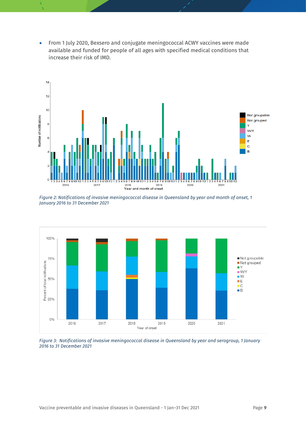• From 1 July 2020, Bexsero and conjugate meningococcal ACWY vaccines were made available and funded for people of all ages with specified medical conditions that increase their risk of IMD.



<span id="page-8-0"></span>*Figure 2: Notifications of invasive meningococcal disease in Queensland by year and month of onset, 1 January 2016 to 31 December 2021*



<span id="page-8-1"></span>*Figure 3: Notifications of invasive meningococcal disease in Queensland by year and serogroup, 1 January 2016 to 31 December 2021*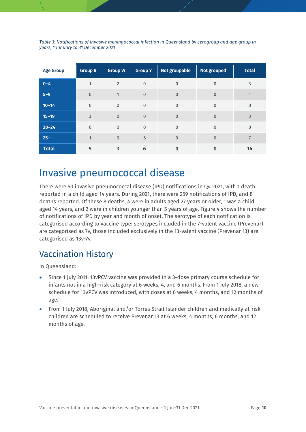| <b>Age Group</b> | <b>Group B</b> | <b>Group W</b> | <b>Group Y</b> | Not groupable  | <b>Not grouped</b> | <b>Total</b>   |
|------------------|----------------|----------------|----------------|----------------|--------------------|----------------|
| $0 - 4$          | 1              | $\overline{2}$ | $\mathbf{0}$   | $\overline{0}$ | $\mathbf{0}$       | 3              |
| $5 - 9$          | $\Omega$       | 1              | $\overline{0}$ | $\overline{0}$ | $\mathbf{0}$       |                |
| $10 - 14$        | $\mathbf{0}$   | $\mathbf{0}$   | $\overline{0}$ | $\overline{0}$ | $\overline{0}$     | $\mathbf 0$    |
| $15 - 19$        | 3              | $\overline{0}$ | $\overline{0}$ | $\Omega$       | $\overline{0}$     | 3              |
| $20 - 24$        | $\Omega$       | $\mathbf 0$    | $\overline{0}$ | $\overline{0}$ | $\overline{0}$     | $\mathbf 0$    |
| $25+$            | $\mathbf{1}$   | $\mathbf{0}$   | 6              | $\Omega$       | $\overline{0}$     | $\overline{7}$ |
| <b>Total</b>     | 5              | 3              | 6              | $\bf{0}$       | $\bf{0}$           | 14             |

<span id="page-9-1"></span>*Table 3: Notifications of invasive meningococcal infection in Queensland by serogroup and age group in years, 1 January to 31 December 2021*

### <span id="page-9-0"></span>Invasive pneumococcal disease

There were 50 invasive pneumococcal disease (IPD) notifications in Q4 2021, with 1 death reported in a child aged 14 years. During 2021, there were 259 notifications of IPD, and 8 deaths reported. Of these 8 deaths, 4 were in adults aged 27 years or older, 1 was a child aged 14 years, and 2 were in children younger than 5 years of age. Figure 4 shows the number of notifications of IPD by year and month of onset. The serotype of each notification is categorised according to vaccine type: serotypes included in the 7-valent vaccine (Prevenar) are categorised as 7v, those included exclusively in the 13-valent vaccine (Prevenar 13) are categorised as 13v-7v.

### Vaccination History

In Queensland:

- Since 1 July 2011, 13vPCV vaccine was provided in a 3-dose primary course schedule for infants not in a high-risk category at 6 weeks, 4, and 6 months. From 1 July 2018, a new schedule for 13vPCV was introduced, with doses at 6 weeks, 4 months, and 12 months of age.
- From 1 July 2018, Aboriginal and/or Torres Strait Islander children and medically at-risk children are scheduled to receive Prevenar 13 at 6 weeks, 4 months, 6 months, and 12 months of age.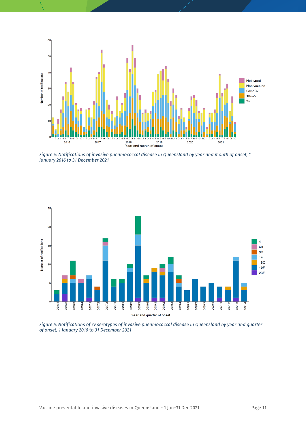

<span id="page-10-0"></span>*Figure 4: Notifications of invasive pneumococcal disease in Queensland by year and month of onset, 1 January 2016 to 31 December 2021*



<span id="page-10-1"></span>*Figure 5: Notifications of 7v serotypes of invasive pneumococcal disease in Queensland by year and quarter of onset, 1 January 2016 to 31 December 2021*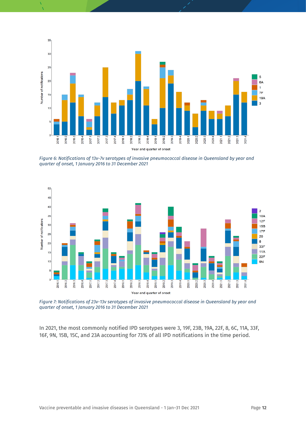

<span id="page-11-0"></span>*Figure 6: Notifications of 13v-7v serotypes of invasive pneumococcal disease in Queensland by year and quarter of onset, 1 January 2016 to 31 December 2021*



<span id="page-11-1"></span>*Figure 7: Notifications of 23v-13v serotypes of invasive pneumococcal disease in Queensland by year and quarter of onset, 1 January 2016 to 31 December 2021*

In 2021, the most commonly notified IPD serotypes were 3, 19F, 23B, 19A, 22F, 8, 6C, 11A, 33F, 16F, 9N, 15B, 15C, and 23A accounting for 73% of all IPD notifications in the time period.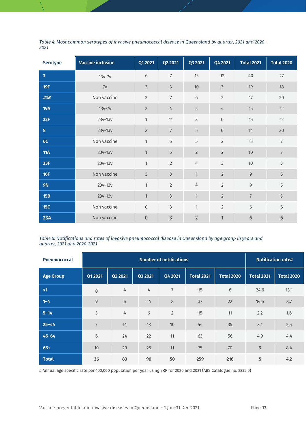<span id="page-12-0"></span>*Table 4: Most common serotypes of invasive pneumococcal disease in Queensland by quarter, 2021 and 2020- 2021*

| <b>Serotype</b> | <b>Vaccine inclusion</b> | Q1 2021        | Q2 2021        | Q3 2021        | Q4 2021          | <b>Total 2021</b> | <b>Total 2020</b> |
|-----------------|--------------------------|----------------|----------------|----------------|------------------|-------------------|-------------------|
| $\overline{3}$  | $13v-7v$                 | 6              | $\overline{7}$ | 15             | 12               | 40                | 27                |
| 19F             | 7v                       | $\mathfrak{Z}$ | 3              | 10             | $\mathfrak{Z}$   | 19                | 18                |
| 23B             | Non vaccine              | $\overline{2}$ | $\overline{7}$ | 6              | $\overline{2}$   | 17                | 20                |
| <b>19A</b>      | $13v-7v$                 | $\overline{2}$ | $\frac{1}{4}$  | 5              | $\overline{4}$   | 15                | 12                |
| 22F             | $23v-13v$                | $\mathbf{1}$   | 11             | 3              | $\boldsymbol{0}$ | 15                | 12                |
| 8               | $23v-13v$                | $\overline{2}$ | $7\phantom{.}$ | 5              | $\mathbf{0}$     | 14                | 20                |
| 6C              | Non vaccine              | $\mathbf{1}$   | 5              | 5              | $\overline{2}$   | 13                | $\overline{7}$    |
| <b>11A</b>      | $23v-13v$                | 1              | 5              | $\overline{2}$ | $\overline{2}$   | 10                | $\overline{7}$    |
| 33F             | $23v - 13v$              | $\mathbf{1}$   | $\overline{2}$ | $\overline{4}$ | $\overline{3}$   | 10                | 3                 |
| 16F             | Non vaccine              | $\mathfrak{Z}$ | 3              | $\mathbf{1}$   | $\overline{2}$   | 9                 | 5                 |
| <b>9N</b>       | $23v-13v$                | $\mathbf{1}$   | $\overline{2}$ | $\overline{4}$ | $\overline{2}$   | 9                 | 5                 |
| 15B             | $23v-13v$                | $\mathbf{1}$   | 3              | $\mathbf{1}$   | $\overline{2}$   | $\overline{7}$    | 3                 |
| 15C             | Non vaccine              | $\mathbf 0$    | 3              | $\mathbf{1}$   | $\overline{2}$   | $6\,$             | 6                 |
| 23A             | Non vaccine              | $\mathbf{0}$   | 3              | $\overline{2}$ | 1                | $6\phantom{.}6$   | $6\phantom{.}6$   |

<span id="page-12-1"></span>*Table 5: Notifications and rates of invasive pneumococcal disease in Queensland by age group in years and quarter, 2021 and 2020-2021*

| <b>Pneumococcal</b> |                |                 | <b>Notification rate#</b> |                |                   |                   |                   |                   |
|---------------------|----------------|-----------------|---------------------------|----------------|-------------------|-------------------|-------------------|-------------------|
| <b>Age Group</b>    | Q1 2021        | Q2 2021         | Q3 2021                   | Q4 2021        | <b>Total 2021</b> | <b>Total 2020</b> | <b>Total 2021</b> | <b>Total 2020</b> |
| $\leq$ 1            | $\mathbf 0$    | 4               | 4                         | $\overline{7}$ | 15                | $\,8\,$           | 24.6              | 13.1              |
| $1 - 4$             | $\overline{9}$ | $6\phantom{1}6$ | 14                        | $\,8\,$        | 37                | 22                | 14.6              | 8.7               |
| $5 - 14$            | $\mathsf 3$    | 4               | 6                         | 2              | 15                | 11                | 2.2               | 1.6               |
| $25 - 44$           | $\overline{7}$ | 14              | 13                        | 10             | 44                | 35                | 3.1               | 2.5               |
| $45 - 64$           | $6\,$          | 24              | 22                        | 11             | 63                | 56                | 4.9               | 4.4               |
| $65+$               | 10             | 29              | 25                        | 11             | 75                | 70                | 9                 | 8.4               |
| <b>Total</b>        | 36             | 83              | 90                        | 50             | 259               | 216               | 5                 | 4.2               |

# Annual age specific rate per 100,000 population per year using ERP for 2020 and 2021 (ABS Catalogue no. 3235.0)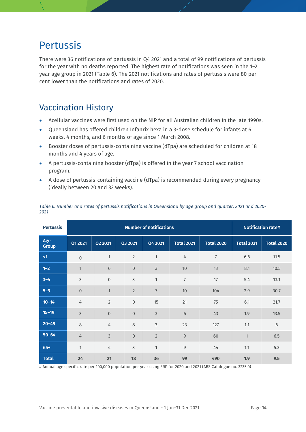### <span id="page-13-0"></span>Pertussis

There were 36 notifications of pertussis in Q4 2021 and a total of 99 notifications of pertussis for the year with no deaths reported. The highest rate of notifications was seen in the 1–2 year age group in 2021 (Table 6). The 2021 notifications and rates of pertussis were 80 per cent lower than the notifications and rates of 2020.

#### Vaccination History

- Acellular vaccines were first used on the NIP for all Australian children in the late 1990s.
- Queensland has offered children Infanrix hexa in a 3-dose schedule for infants at 6 weeks, 4 months, and 6 months of age since 1 March 2008.
- Booster doses of pertussis-containing vaccine (dTpa) are scheduled for children at 18 months and 4 years of age.
- A pertussis-containing booster (dTpa) is offered in the year 7 school vaccination program.
- A dose of pertussis-containing vaccine (dTpa) is recommended during every pregnancy (ideally between 20 and 32 weeks).

| <b>Pertussis</b>    |                  |                |                  | <b>Notification rate#</b> |                   |                   |              |                   |
|---------------------|------------------|----------------|------------------|---------------------------|-------------------|-------------------|--------------|-------------------|
| Age<br><b>Group</b> | Q1 2021          | Q2 2021        | Q3 2021          | Q4 2021                   | <b>Total 2021</b> | <b>Total 2020</b> | Total 2021   | <b>Total 2020</b> |
| $\leq$ 1            | $\boldsymbol{0}$ | 1              | $\overline{2}$   | $\mathbf{1}$              | 4                 | $\overline{7}$    | 6.6          | 11.5              |
| $1 - 2$             | $\mathbf{1}$     | 6              | $\mathbf 0$      | $\mathfrak{Z}$            | 10                | 13                | 8.1          | 10.5              |
| $3 - 4$             | $\mathsf 3$      | $\mathbf 0$    | 3                | $\mathbf{1}$              | $\overline{7}$    | 17                | 5.4          | 13.1              |
| $5 - 9$             | $\boldsymbol{0}$ | $\mathbf{1}$   | $\overline{2}$   | $\overline{7}$            | 10                | 104               | 2.9          | 30.7              |
| $10 - 14$           | 4                | $\overline{2}$ | $\boldsymbol{0}$ | 15                        | 21                | 75                | 6.1          | 21.7              |
| $15 - 19$           | $\mathfrak{Z}$   | $\overline{0}$ | $\mathbf 0$      | $\mathfrak{Z}$            | $\sqrt{6}$        | 43                | 1.9          | 13.5              |
| $20 - 49$           | $\,8\,$          | 4              | 8                | 3                         | 23                | 127               | 1.1          | $\,$ 6 $\,$       |
| $50 - 64$           | 4                | $\overline{3}$ | $\boldsymbol{0}$ | $\overline{2}$            | $\mathsf 9$       | 60                | $\mathbf{1}$ | 6.5               |
| $65+$               | 1                | 4              | 3                | $\mathbf{1}$              | 9                 | 44                | 1.1          | 5.3               |
| <b>Total</b>        | 24               | 21             | 18               | 36                        | 99                | 490               | 1.9          | 9.5               |

<span id="page-13-1"></span>*Table 6: Number and rates of pertussis notifications in Queensland by age group and quarter, 2021 and 2020- 2021*

# Annual age specific rate per 100,000 population per year using ERP for 2020 and 2021 (ABS Catalogue no. 3235.0)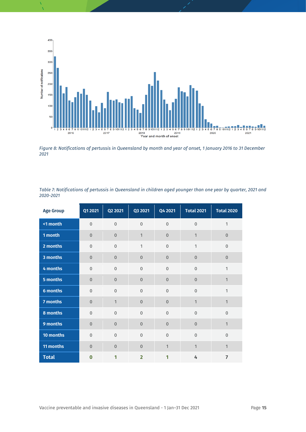

<span id="page-14-1"></span>*Figure 8: Notifications of pertussis in Queensland by month and year of onset, 1 January 2016 to 31 December 2021*

<span id="page-14-0"></span>

| Table 7: Notifications of pertussis in Queensland in children aged younger than one year by quarter, 2021 and |  |  |
|---------------------------------------------------------------------------------------------------------------|--|--|
| 2020-2021                                                                                                     |  |  |

| <b>Age Group</b> | Q1 2021        | Q2 2021          | Q3 2021        | Q4 2021        | <b>Total 2021</b> | <b>Total 2020</b> |
|------------------|----------------|------------------|----------------|----------------|-------------------|-------------------|
| <1 month         | $\overline{0}$ | $\overline{0}$   | $\overline{0}$ | $\overline{0}$ | $\overline{0}$    | $\mathbf{1}$      |
| 1 month          | $\overline{0}$ | $\overline{0}$   | $\mathbf{1}$   | $\overline{0}$ | $\mathbf{1}$      | $\overline{0}$    |
| 2 months         | $\overline{0}$ | $\mathbf 0$      | $\mathbf{1}$   | $\overline{0}$ | $\mathbf{1}$      | $\mathbf 0$       |
| 3 months         | $\overline{0}$ | $\overline{0}$   | $\overline{0}$ | $\overline{0}$ | $\overline{0}$    | $\overline{0}$    |
| 4 months         | $\overline{0}$ | $\overline{0}$   | $\overline{0}$ | $\mathbf 0$    | $\overline{0}$    | $\mathbf{1}$      |
| 5 months         | $\overline{0}$ | $\overline{0}$   | $\Omega$       | $\overline{0}$ | $\overline{0}$    | $\mathbf{1}$      |
| 6 months         | $\mathbf{0}$   | $\overline{0}$   | $\mathbf{0}$   | $\overline{0}$ | $\overline{0}$    | 1                 |
| 7 months         | $\overline{0}$ | $\mathbf{1}$     | $\overline{0}$ | $\overline{0}$ | $\mathbf{1}$      | $\mathbf{1}$      |
| 8 months         | $\overline{0}$ | $\mathbf 0$      | $\mathbf 0$    | $\mathbf 0$    | $\overline{0}$    | $\mathbf 0$       |
| 9 months         | $\overline{0}$ | $\overline{0}$   | $\Omega$       | $\overline{0}$ | $\overline{0}$    | $\mathbf{1}$      |
| 10 months        | $\overline{0}$ | $\overline{0}$   | $\mathbf{0}$   | $\mathbf 0$    | $\overline{0}$    | $\mathbf{0}$      |
| 11 months        | $\overline{0}$ | $\boldsymbol{0}$ | $\overline{0}$ | $\mathbf{1}$   | $\mathbf{1}$      | $\mathbf{1}$      |
| <b>Total</b>     | $\bf{0}$       | 1                | $\overline{2}$ | 1              | 4                 | $\overline{7}$    |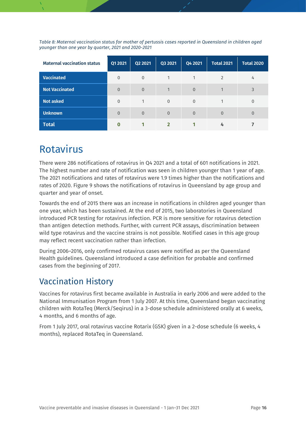<span id="page-15-1"></span>*Table 8: Maternal vaccination status for mother of pertussis cases reported in Queensland in children aged younger than one year by quarter, 2021 and 2020-2021*

| <b>Maternal vaccination status</b> | Q1 2021        | Q2 2021  | Q3 2021        | Q4 2021        | <b>Total 2021</b> | <b>Total 2020</b> |
|------------------------------------|----------------|----------|----------------|----------------|-------------------|-------------------|
| <b>Vaccinated</b>                  | $\Omega$       | $\Omega$ |                |                | $\overline{2}$    | 4                 |
| <b>Not Vaccinated</b>              | $\overline{0}$ | $\Omega$ |                | $\overline{0}$ |                   | 3                 |
| <b>Not asked</b>                   | $\overline{0}$ |          | $\Omega$       | $\mathbf{0}$   |                   | $\mathbf{0}$      |
| <b>Unknown</b>                     | $\Omega$       | $\Omega$ | $\overline{0}$ | $\overline{0}$ | $\mathbf{0}$      | $\overline{0}$    |
| <b>Total</b>                       |                |          |                |                |                   |                   |

### <span id="page-15-0"></span>Rotavirus

There were 286 notifications of rotavirus in Q4 2021 and a total of 601 notifications in 2021. The highest number and rate of notification was seen in children younger than 1 year of age. The 2021 notifications and rates of rotavirus were 1.9 times higher than the notifications and rates of 2020. Figure 9 shows the notifications of rotavirus in Queensland by age group and quarter and year of onset.

Towards the end of 2015 there was an increase in notifications in children aged younger than one year, which has been sustained. At the end of 2015, two laboratories in Queensland introduced PCR testing for rotavirus infection. PCR is more sensitive for rotavirus detection than antigen detection methods. Further, with current PCR assays, discrimination between wild type rotavirus and the vaccine strains is not possible. Notified cases in this age group may reflect recent vaccination rather than infection.

During 2006–2016, only confirmed rotavirus cases were notified as per the Queensland Health guidelines. Queensland introduced a case definition for probable and confirmed cases from the beginning of 2017.

### Vaccination History

Vaccines for rotavirus first became available in Australia in early 2006 and were added to the National Immunisation Program from 1 July 2007. At this time, Queensland began vaccinating children with RotaTeq (Merck/Seqirus) in a 3-dose schedule administered orally at 6 weeks, 4 months, and 6 months of age.

From 1 July 2017, oral rotavirus vaccine Rotarix (GSK) given in a 2-dose schedule (6 weeks, 4 months), replaced RotaTeq in Queensland.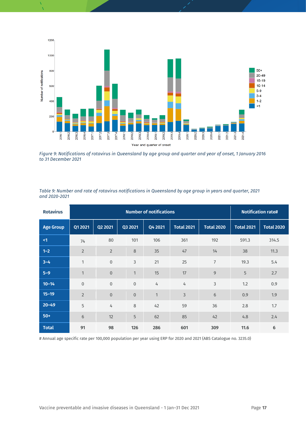

<span id="page-16-1"></span>*Figure 9: Notifications of rotavirus in Queensland by age group and quarter and year of onset, 1 January 2016 to 31 December 2021*

<span id="page-16-0"></span>

| Table 9: Number and rate of rotavirus notifications in Queensland by age group in years and quarter, 2021 |  |  |
|-----------------------------------------------------------------------------------------------------------|--|--|
| and 2020-2021                                                                                             |  |  |

| <b>Rotavirus</b> | <b>Number of notifications</b> |                  |                |              |                   | <b>Notification rate#</b> |                   |                   |
|------------------|--------------------------------|------------------|----------------|--------------|-------------------|---------------------------|-------------------|-------------------|
| <b>Age Group</b> | Q1 2021                        | Q2 2021          | Q3 2021        | Q4 2021      | <b>Total 2021</b> | <b>Total 2020</b>         | <b>Total 2021</b> | <b>Total 2020</b> |
| <1               | 74                             | 80               | 101            | 106          | 361               | 192                       | 591.3             | 314.5             |
| $1 - 2$          | $\overline{2}$                 | $\overline{2}$   | 8              | 35           | 47                | 14                        | 38                | 11.3              |
| $3 - 4$          | 1                              | $\overline{0}$   | $\mathsf 3$    | 21           | 25                | $\overline{7}$            | 19.3              | 5.4               |
| $5 - 9$          | $\mathbf{1}$                   | $\boldsymbol{0}$ | 1              | 15           | 17                | $\mathsf 9$               | 5                 | 2.7               |
| $10 - 14$        | $\overline{0}$                 | $\overline{0}$   | $\overline{0}$ | 4            | 4                 | 3                         | 1.2               | 0.9               |
| $15 - 19$        | $\overline{2}$                 | $\overline{0}$   | $\theta$       | $\mathbf{1}$ | $\mathsf 3$       | $\sqrt{6}$                | 0.9               | 1.9               |
| $20 - 49$        | 5                              | $\overline{4}$   | 8              | 42           | 59                | 36                        | 2.8               | 1.7               |
| $50+$            | 6                              | 12               | 5              | 62           | 85                | 42                        | 4.8               | 2.4               |
| <b>Total</b>     | 91                             | 98               | 126            | 286          | 601               | 309                       | 11.6              | 6                 |

# Annual age specific rate per 100,000 population per year using ERP for 2020 and 2021 (ABS Catalogue no. 3235.0)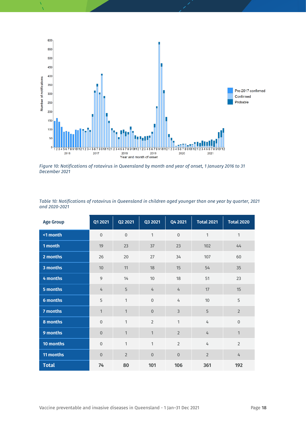

<span id="page-17-1"></span>*Figure 10: Notifications of rotavirus in Queensland by month and year of onset, 1 January 2016 to 31 December 2021*

| <b>Age Group</b> | Q1 2021          | Q2 2021          | Q3 2021        | Q4 2021        | <b>Total 2021</b> | <b>Total 2020</b> |
|------------------|------------------|------------------|----------------|----------------|-------------------|-------------------|
| <1 month         | $\mathbf 0$      | $\boldsymbol{0}$ | $\mathbf{1}$   | $\overline{0}$ | 1                 | $\mathbf{1}$      |
| 1 month          | 19               | 23               | 37             | 23             | 102               | 44                |
| 2 months         | 26               | 20               | 27             | 34             | 107               | 60                |
| 3 months         | 10               | 11               | 18             | 15             | 54                | 35                |
| 4 months         | 9                | 14               | 10             | 18             | 51                | 23                |
| 5 months         | 4                | 5                | $\overline{4}$ | $\overline{4}$ | 17                | 15                |
| 6 months         | 5                | $\mathbf{1}$     | $\overline{0}$ | $\overline{4}$ | 10                | 5                 |
| 7 months         | $\mathbf{1}$     | $\mathbf{1}$     | $\overline{0}$ | $\overline{3}$ | 5                 | $\overline{2}$    |
| 8 months         | $\boldsymbol{0}$ | $\mathbf{1}$     | $\overline{2}$ | $\mathbf{1}$   | 4                 | $\overline{0}$    |
| 9 months         | $\overline{0}$   | $\mathbf{1}$     | $\mathbf{1}$   | $\overline{2}$ | 4                 | $\mathbf{1}$      |
| 10 months        | $\mathbf 0$      | $\mathbf{1}$     | $\mathbf{1}$   | $\overline{2}$ | 4                 | $\overline{2}$    |
| 11 months        | $\overline{0}$   | $\overline{2}$   | $\overline{0}$ | $\overline{0}$ | $\overline{2}$    | 4                 |
| <b>Total</b>     | 74               | 80               | 101            | 106            | 361               | 192               |

<span id="page-17-0"></span>*Table 10: Notifications of rotavirus in Queensland in children aged younger than one year by quarter, 2021 and 2020-2021*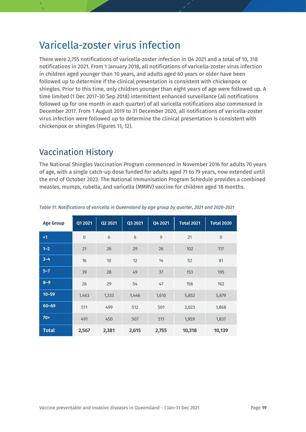### <span id="page-18-0"></span>Varicella-zoster virus infection

There were 2,755 notifications of varicella-zoster infection in Q4 2021 and a total of 10, 318 notifications in 2021. From 1 January 2018, all notifications of varicella-zoster virus infection in children aged younger than 10 years, and adults aged 60 years or older have been followed up to determine if the clinical presentation is consistent with chickenpox or shingles. Prior to this time, only children younger than eight years of age were followed up. A time limited (1 Dec 2017–30 Sep 2018) intermittent enhanced surveillance (all notifications followed up for one month in each quarter) of all varicella notifications also commenced in December 2017. From 1 August 2019 to 31 December 2020, all notifications of varicella-zoster virus infection were followed up to determine the clinical presentation is consistent with chickenpox or shingles (Figures 11, 12).

### Vaccination History

The National Shingles Vaccination Program commenced in November 2016 for adults 70 years of age, with a single catch-up dose funded for adults aged 71 to 79 years, now extended until the end of October 2023. The National Immunisation Program Schedule provides a combined measles, mumps, rubella, and varicella (MMRV) vaccine for children aged 18 months.

| <b>Age Group</b> | Q1 2021        | Q2 2021 | Q3 2021 | Q4 2021 | <b>Total 2021</b> | <b>Total 2020</b> |
|------------------|----------------|---------|---------|---------|-------------------|-------------------|
| $\leq$ 1         | $\overline{0}$ | 6       | 6       | 9       | 21                | $\overline{0}$    |
| $1 - 2$          | 21             | 26      | 29      | 26      | 102               | 117               |
| $3 - 4$          | 16             | 10      | 12      | 14      | 52                | 81                |
| $5 - 7$          | 39             | 28      | 49      | 37      | 153               | 195               |
| $8 - 9$          | 26             | 29      | 54      | 47      | 156               | 162               |
| $10 - 59$        | 1,463          | 1,333   | 1,446   | 1,610   | 5,852             | 5,879             |
| $60 - 69$        | 511            | 499     | 512     | 501     | 2,023             | 1,868             |
| $70+$            | 491            | 450     | 507     | 511     | 1,959             | 1,837             |
| <b>Total</b>     | 2,567          | 2,381   | 2,615   | 2,755   | 10,318            | 10,139            |

<span id="page-18-1"></span>*Table 11: Notifications of varicella in Queensland by age group by quarter, 2021 and 2020-2021*